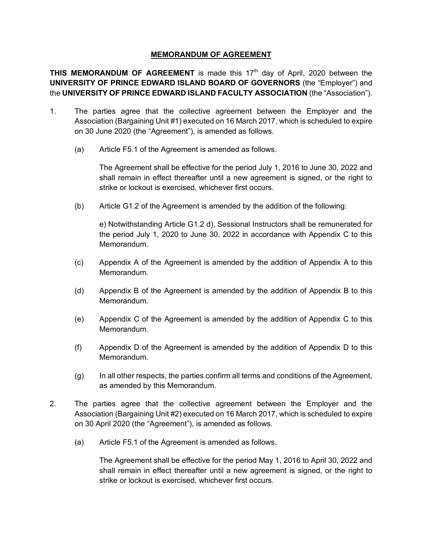#### **MEMORANDUM OF AGREEMENT**

**THIS MEMORANDUM OF AGREEMENT** is made this 17<sup>th</sup> day of April, 2020 between the **UNIVERSITY OF PRINCE EDWARD ISLAND BOARD OF GOVERNORS** (the "Employer") and the **UNIVERSITY OF PRINCE EDWARD ISLAND FACULTY ASSOCIATION** (the "Association").

- 1. The parties agree that the collective agreement between the Employer and the Association (Bargaining Unit #1) executed on 16 March 2017, which is scheduled to expire on 30 June 2020 (the "Agreement"), is amended as follows.
	- (a) Article F5.1 of the Agreement is amended as follows.

The Agreement shall be effective for the period July 1, 2016 to June 30, 2022 and shall remain in effect thereafter until a new agreement is signed, or the right to strike or lockout is exercised, whichever first occurs.

(b) Article G1.2 of the Agreement is amended by the addition of the following:

e) Notwithstanding Article G1.2 d), Sessional Instructors shall be remunerated for the period July 1, 2020 to June 30, 2022 in accordance with Appendix C to this Memorandum.

- (c) Appendix A of the Agreement is amended by the addition of Appendix A to this Memorandum.
- (d) Appendix B of the Agreement is amended by the addition of Appendix B to this Memorandum.
- (e) Appendix C of the Agreement is amended by the addition of Appendix C to this Memorandum.
- (f) Appendix D of the Agreement is amended by the addition of Appendix D to this Memorandum.
- (g) In all other respects, the parties confirm all terms and conditions of the Agreement, as amended by this Memorandum.
- 2. The parties agree that the collective agreement between the Employer and the Association (Bargaining Unit #2) executed on 16 March 2017, which is scheduled to expire on 30 April 2020 (the "Agreement"), is amended as follows.
	- (a) Article F5.1 of the Agreement is amended as follows.

The Agreement shall be effective for the period May 1, 2016 to April 30, 2022 and shall remain in effect thereafter until a new agreement is signed, or the right to strike or lockout is exercised, whichever first occurs.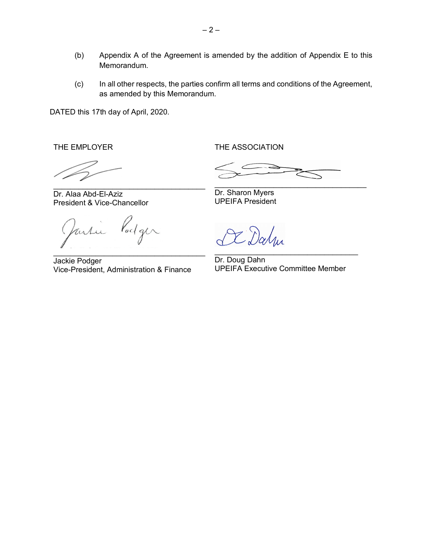- (b) Appendix A of the Agreement is amended by the addition of Appendix E to this Memorandum.
- (c) In all other respects, the parties confirm all terms and conditions of the Agreement, as amended by this Memorandum.

DATED this 17th day of April, 2020.

THE EMPLOYER

THE ASSOCIATION

 $\mathcal{L}_\text{max}$  and  $\mathcal{L}_\text{max}$  and  $\mathcal{L}_\text{max}$  and  $\mathcal{L}_\text{max}$ 

Dr. Alaa Abd-El-Aziz President & Vice-Chancellor

Vodger fartu  $\mathcal{L}_\text{max}$  and  $\mathcal{L}_\text{max}$  and  $\mathcal{L}_\text{max}$  and  $\mathcal{L}_\text{max}$ 

Jackie Podger Vice-President, Administration & Finance

Dr. Sharon Myers UPEIFA President

Dalm  $\mathcal{L}_\text{max}$  and  $\mathcal{L}_\text{max}$  and  $\mathcal{L}_\text{max}$  and  $\mathcal{L}_\text{max}$ 

Dr. Doug Dahn UPEIFA Executive Committee Member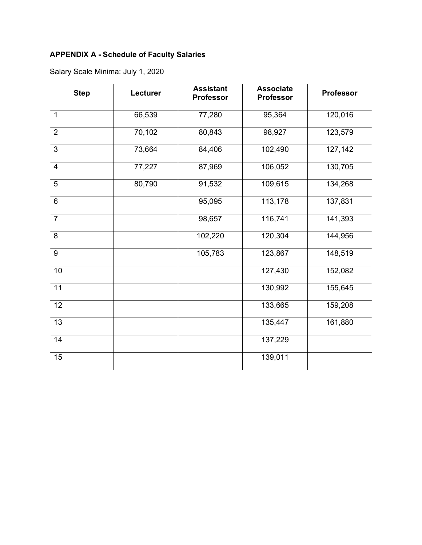# **APPENDIX A - Schedule of Faculty Salaries**

| <b>Step</b>     | Lecturer | <b>Assistant</b><br><b>Professor</b> | <b>Associate</b><br><b>Professor</b> | <b>Professor</b> |
|-----------------|----------|--------------------------------------|--------------------------------------|------------------|
| $\mathbf{1}$    | 66,539   | 77,280                               | 95,364                               | 120,016          |
| $\overline{2}$  | 70,102   | 80,843                               | 98,927                               | 123,579          |
| 3               | 73,664   | 84,406                               | 102,490                              | 127,142          |
| $\overline{4}$  | 77,227   | 87,969                               | 106,052                              | 130,705          |
| 5               | 80,790   | 91,532                               | 109,615                              | 134,268          |
| $\overline{6}$  |          | 95,095                               | 113,178                              | 137,831          |
| $\overline{7}$  |          | 98,657                               | 116,741                              | 141,393          |
| 8               |          | 102,220                              | 120,304                              | 144,956          |
| 9               |          | 105,783                              | 123,867                              | 148,519          |
| 10              |          |                                      | 127,430                              | 152,082          |
| 11              |          |                                      | 130,992                              | 155,645          |
| 12              |          |                                      | 133,665                              | 159,208          |
| $\overline{13}$ |          |                                      | 135,447                              | 161,880          |
| 14              |          |                                      | 137,229                              |                  |
| 15              |          |                                      | 139,011                              |                  |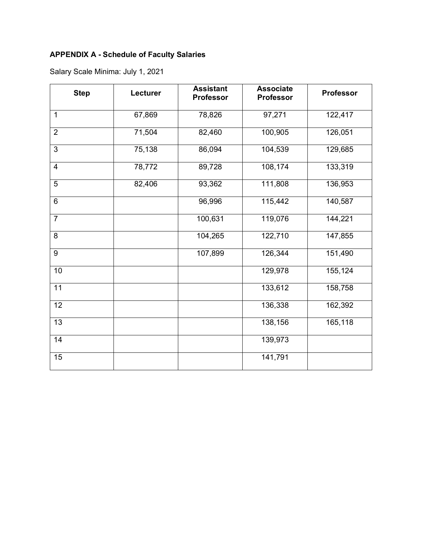# **APPENDIX A - Schedule of Faculty Salaries**

| <b>Step</b>     | Lecturer | <b>Assistant</b><br><b>Professor</b> | <b>Associate</b><br><b>Professor</b> | <b>Professor</b> |
|-----------------|----------|--------------------------------------|--------------------------------------|------------------|
| $\mathbf{1}$    | 67,869   | 78,826                               | 97,271                               | 122,417          |
| $\overline{2}$  | 71,504   | 82,460                               | 100,905                              | 126,051          |
| $\mathbf{3}$    | 75,138   | 86,094                               | 104,539                              | 129,685          |
| $\overline{4}$  | 78,772   | 89,728                               | 108,174                              | 133,319          |
| $\overline{5}$  | 82,406   | 93,362                               | 111,808                              | 136,953          |
| $6\phantom{1}$  |          | 96,996                               | 115,442                              | 140,587          |
| $\overline{7}$  |          | 100,631                              | 119,076                              | 144,221          |
| 8               |          | 104,265                              | 122,710                              | 147,855          |
| 9               |          | 107,899                              | 126,344                              | 151,490          |
| 10              |          |                                      | 129,978                              | 155,124          |
| 11              |          |                                      | 133,612                              | 158,758          |
| 12              |          |                                      | 136,338                              | 162,392          |
| $\overline{13}$ |          |                                      | 138,156                              | 165,118          |
| 14              |          |                                      | 139,973                              |                  |
| 15              |          |                                      | 141,791                              |                  |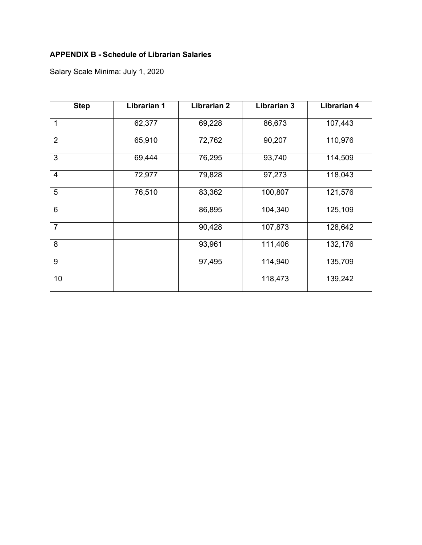## **APPENDIX B - Schedule of Librarian Salaries**

| <b>Step</b>     | <b>Librarian 1</b> | <b>Librarian 2</b> | <b>Librarian 3</b> | Librarian 4 |
|-----------------|--------------------|--------------------|--------------------|-------------|
| 1               | 62,377             | 69,228             | 86,673             | 107,443     |
| $\overline{2}$  | 65,910             | 72,762             | 90,207             | 110,976     |
| 3               | 69,444             | 76,295             | 93,740             | 114,509     |
| $\overline{4}$  | 72,977             | 79,828             | 97,273             | 118,043     |
| 5               | 76,510             | 83,362             | 100,807            | 121,576     |
| $6\phantom{1}6$ |                    | 86,895             | 104,340            | 125,109     |
| $\overline{7}$  |                    | 90,428             | 107,873            | 128,642     |
| 8               |                    | 93,961             | 111,406            | 132,176     |
| 9               |                    | 97,495             | 114,940            | 135,709     |
| 10              |                    |                    | 118,473            | 139,242     |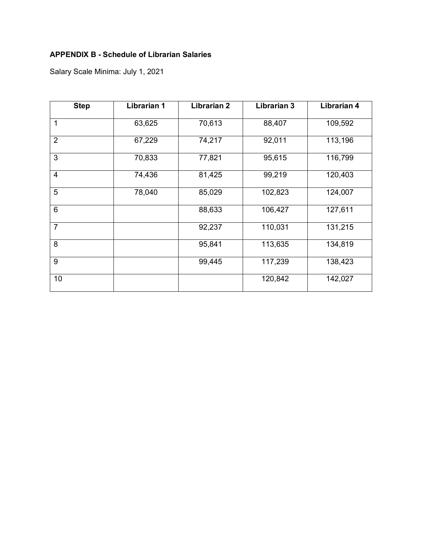## **APPENDIX B - Schedule of Librarian Salaries**

| <b>Step</b>     | <b>Librarian 1</b> | <b>Librarian 2</b> | <b>Librarian 3</b> | Librarian 4 |
|-----------------|--------------------|--------------------|--------------------|-------------|
| 1               | 63,625             | 70,613             | 88,407             | 109,592     |
| $\overline{2}$  | 67,229             | 74,217             | 92,011             | 113,196     |
| 3               | 70,833             | 77,821             | 95,615             | 116,799     |
| $\overline{4}$  | 74,436             | 81,425             | 99,219             | 120,403     |
| 5               | 78,040             | 85,029             | 102,823            | 124,007     |
| $6\phantom{1}6$ |                    | 88,633             | 106,427            | 127,611     |
| $\overline{7}$  |                    | 92,237             | 110,031            | 131,215     |
| 8               |                    | 95,841             | 113,635            | 134,819     |
| 9               |                    | 99,445             | 117,239            | 138,423     |
| 10              |                    |                    | 120,842            | 142,027     |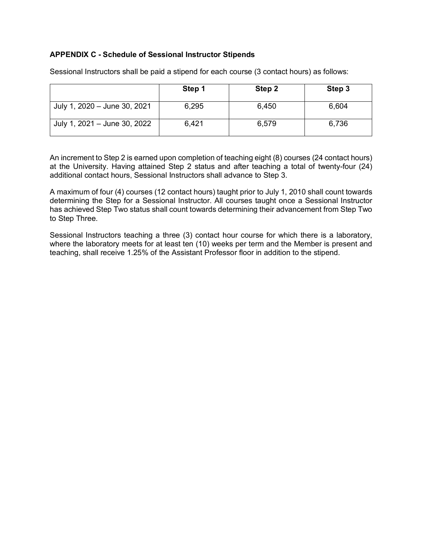#### **APPENDIX C - Schedule of Sessional Instructor Stipends**

|                              | Step 1 | Step 2 | Step 3 |
|------------------------------|--------|--------|--------|
| July 1, 2020 - June 30, 2021 | 6,295  | 6,450  | 6,604  |
| July 1, 2021 - June 30, 2022 | 6,421  | 6,579  | 6,736  |

Sessional Instructors shall be paid a stipend for each course (3 contact hours) as follows:

An increment to Step 2 is earned upon completion of teaching eight (8) courses (24 contact hours) at the University. Having attained Step 2 status and after teaching a total of twenty-four (24) additional contact hours, Sessional Instructors shall advance to Step 3.

A maximum of four (4) courses (12 contact hours) taught prior to July 1, 2010 shall count towards determining the Step for a Sessional Instructor. All courses taught once a Sessional Instructor has achieved Step Two status shall count towards determining their advancement from Step Two to Step Three.

Sessional Instructors teaching a three (3) contact hour course for which there is a laboratory, where the laboratory meets for at least ten (10) weeks per term and the Member is present and teaching, shall receive 1.25% of the Assistant Professor floor in addition to the stipend.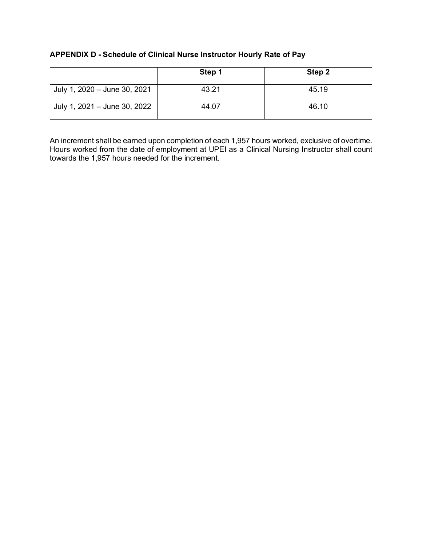### **APPENDIX D - Schedule of Clinical Nurse Instructor Hourly Rate of Pay**

|                              | Step 1 | Step 2 |
|------------------------------|--------|--------|
| July 1, 2020 - June 30, 2021 | 43.21  | 45.19  |
| July 1, 2021 - June 30, 2022 | 44.07  | 46.10  |

An increment shall be earned upon completion of each 1,957 hours worked, exclusive of overtime. Hours worked from the date of employment at UPEI as a Clinical Nursing Instructor shall count towards the 1,957 hours needed for the increment.